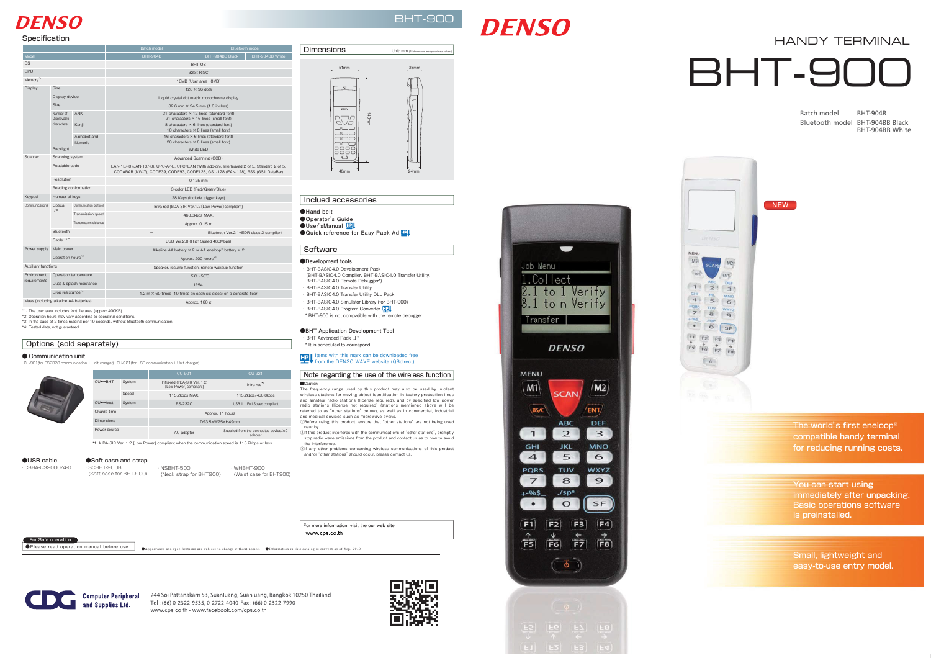**●Appearance and specifications are subject to change without notice. ●Information in this catalog is current as of Sep. 2010** ●Please read operation manual before use.



244 Soi Pattanakarn 53, Suanluang, Suanluang, Bangkok 10250 Thailand Tel: (66) 0-2322-9535, 0-2722-4040 Fax: (66) 0-2322-7990 www.cps.co.th • www.facebook.com/cps.co.th





 $F5$   $F6$   $F7$   $F8$ 



**●Hand belt ●Operator's Guide ●User'sManual** ●Quick reference for Easy Pack Ad<sup>ID</sup>

#### **Software**

# **DFNSO**

# BHT-900

# **DENSO**

#### Inclued accessories

#### **●Development tools**





#### For Safe operation

# HANDY TERMINAL **BHT-90**

- ・ BHT-BASIC4.0 Development Pack (BHT-BASIC4.0 Compiler, BHT-BASIC4.0 Transfer Utility, BHT-BASIC4.0 Remote Debugger\*)
- ・ BHT-BASIC4.0 Transfer Utility
- ・ BHT-BASIC4.0 Transfer Utility DLL Pack
- ・ BHT-BASIC4.0 Simulator Library (for BHT-900)
- ・BHT-BASIC4.0 Program Converter <mark>エコ</u></mark>
- \* BHT-900 is not compatible with the remote debugger.

### Note regarding the use of the wireless function

Options (sold separately)

#### **●BHT Application Development Tool**

- ・ BHT Advanced Pack Ⅱ\*
- \* It is scheduled to correspond

Items with this mark can be downloaded free from the DENSO WAVE website (QBdirect).

You can start using immediately after unpacking. Basic operations software is preinstalled.

Small, lightweight and easy-to-use entry model.

Speed 115.2kbps MAX. 115.2kbps/460.8kbps CU←→host System RS-232C USB 1.1 Full Speed compliant

> compatible handy terminal for reducing running costs. The world's first eneloop®

**■Caution** The frequency range used by this product may also be used by in-plant wireless stations for moving object identification in factory production lines and amateur radio stations (license required), and by specified low power radio stations (license not required) (stations mentioned above will be referred to as "other stations" below), as well as in commercial, industrial and medical devices such as microwave ovens. ①Before using this product, ensure that "other stations" are not being used

\*1: The user area includes font file area (approx 400KB). \*2: Operation hours may vary according to operating conditions.

| Specification                          |                                        |                         |                                                                                                                                                                               |                                         |  |
|----------------------------------------|----------------------------------------|-------------------------|-------------------------------------------------------------------------------------------------------------------------------------------------------------------------------|-----------------------------------------|--|
|                                        |                                        |                         | <b>Batch model</b>                                                                                                                                                            | <b>Bluetooth model</b>                  |  |
| Model                                  |                                        |                         | <b>BHT-904B</b>                                                                                                                                                               | BHT-904BB Black<br>BHT-904BB White      |  |
| 0S                                     |                                        |                         | BHT-OS                                                                                                                                                                        |                                         |  |
| CPU                                    |                                        |                         | 32bit RISC                                                                                                                                                                    |                                         |  |
| Memory <sup>*1</sup>                   |                                        |                         | 16MB (User area: 8MB)                                                                                                                                                         |                                         |  |
| Display                                | <b>Size</b>                            |                         | $128 \times 96$ dots                                                                                                                                                          |                                         |  |
|                                        | Display device                         |                         | Liquid crystal dot matrix monochrome display                                                                                                                                  |                                         |  |
|                                        | <b>Size</b>                            |                         | 32.6 mm $\times$ 24.5 mm (1.6 inches)                                                                                                                                         |                                         |  |
|                                        | Number of<br>Displayable<br>characters | <b>ANK</b>              | 21 characters $\times$ 12 lines (standard font)<br>21 characters $\times$ 16 lines (small font)                                                                               |                                         |  |
|                                        |                                        | Kanji                   | 8 characters $\times$ 6 lines (standard font)<br>10 characters $\times$ 8 lines (small font)                                                                                  |                                         |  |
|                                        |                                        | Alphabet and<br>Numeric | 16 characters $\times$ 6 lines (standard font)<br>20 characters $\times$ 8 lines (small font)                                                                                 |                                         |  |
|                                        | <b>Backlight</b>                       |                         | <b>White LED</b>                                                                                                                                                              |                                         |  |
| Scanner                                | Scanning system                        |                         | Advanced Scanning (CCD)                                                                                                                                                       |                                         |  |
|                                        | Readable code                          |                         | EAN-13/-8 (JAN-13/-8), UPC-A/-E, UPC/EAN (With add-on), Interleaved 2 of 5, Standard 2 of 5,<br>CODABAR (NW-7), CODE39, CODE93, CODE128, GS1-128 (EAN-128), RSS (GS1 DataBar) |                                         |  |
|                                        | Resolution                             |                         | $0.125$ mm                                                                                                                                                                    |                                         |  |
|                                        | Reading conformation                   |                         | 3-color LED (Red/Green/Blue)                                                                                                                                                  |                                         |  |
| Keypad                                 | Number of keys                         |                         | 28 Keys (include trigger keys)                                                                                                                                                |                                         |  |
| Communications                         | Optical<br>I/F                         | Communication protocol  | Infra-red (IrDA-SIR Ver.1.2 (Low Power) compliant)                                                                                                                            |                                         |  |
|                                        |                                        | Transmission speed      | 460.8kbps MAX.                                                                                                                                                                |                                         |  |
|                                        |                                        | Transmission distance   | Approx. 0.15 m                                                                                                                                                                |                                         |  |
|                                        | Bluetooth                              |                         |                                                                                                                                                                               | Bluetooth Ver.2.1+EDR class 2 compliant |  |
|                                        | Cable I/F                              |                         | USB Ver.2.0 (High Speed 480Mbps)                                                                                                                                              |                                         |  |
| Power supply                           | Main power                             |                         | Alkaline AA battery $\times$ 2 or AA eneloop <sup>®</sup> battery $\times$ 2                                                                                                  |                                         |  |
|                                        | Operation hours <sup>*2</sup>          |                         | Approx. 200 hours <sup>*3</sup>                                                                                                                                               |                                         |  |
| <b>Auxiliary functions</b>             |                                        |                         | Speaker, resume function, remote wakeup function                                                                                                                              |                                         |  |
| Environment<br>requirements            | Operation temperature                  |                         | $-5^{\circ}$ C $\sim$ 50 $^{\circ}$ C                                                                                                                                         |                                         |  |
|                                        | Dust & splash resistance               |                         | <b>IP54</b>                                                                                                                                                                   |                                         |  |
|                                        | Drop resistance*4                      |                         | 1.2 m $\times$ 60 times (10 times on each six sides) on a concrete floor                                                                                                      |                                         |  |
| Mass (including alkaline AA batteries) |                                        |                         | Approx, 160 g                                                                                                                                                                 |                                         |  |

\*3: In the case of 2 times reading per 10 seconds, without Bluetooth communication.

\*4: Tested data, not guaranteed.

● Communication unit

CU-901 CU-921

ntra-red (IrDA-SIR Ver. 1.2<br>〔Low Power〕compliant) Infra-red<sup>\*1</sup>

D93.5×W75×H49mm

adapter

●USB cable ・ CBBA-US2000/4-01

・CU-901(for RS232C communication + Unit charger)・CU-921(for USB communication + Unit charger)

\*1: Ir DA-SIR Ver. 1.2 [Low Power] compliant when the communication speed is 115.2kbps or less.

●Soft case and strap ・ SCBHT-900B ・ NSBHT-500

CU←→BHT System Infra-red (IrDA-SIR Ver. 1.2

Charge time Approx. 11 hours

(Soft case for BHT-900) (Neck strap for BHT900) ・ WHBHT-900 (Waist case for BHT900)

Power source AC adapter AC adapter Supplied from the connected device/AC

- near by. ②If this product interferes with the communications of "other stations", promptly
- stop radio wave emissions from the product and contact us as to how to avoid the interference.
- ③If any other problems concerning wireless communications of this product and/or "other stations" should occur, please contact us.

Batch model BHT-904B Bluetooth model BHT-904BB Black

BHT-904BB White



**NEW**